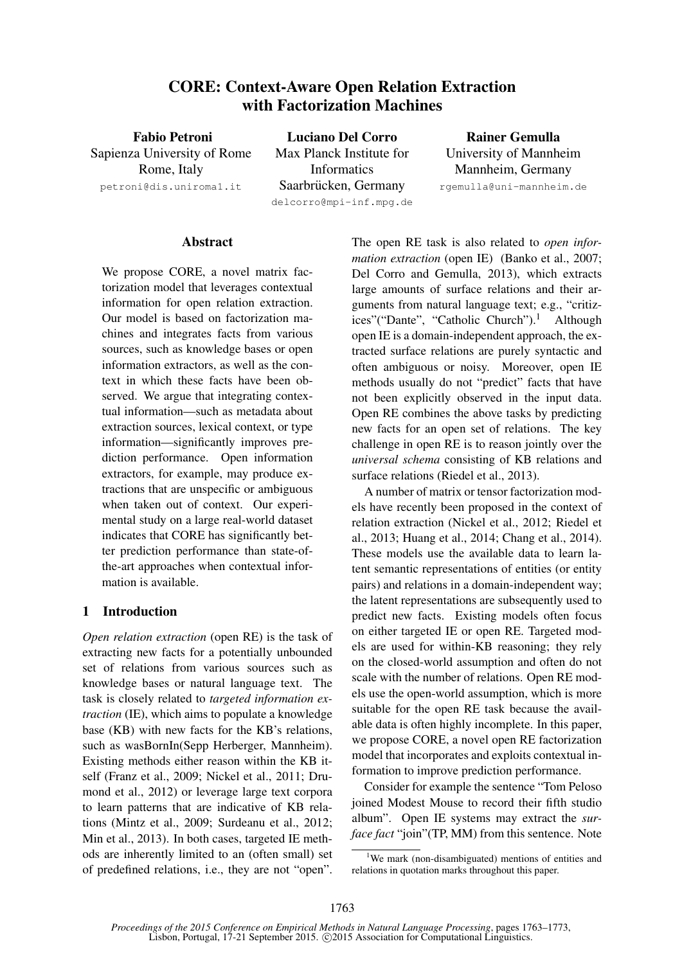# CORE: Context-Aware Open Relation Extraction with Factorization Machines

Fabio Petroni Sapienza University of Rome Rome, Italy petroni@dis.uniroma1.it

Luciano Del Corro Max Planck Institute for Informatics Saarbrücken, Germany delcorro@mpi-inf.mpg.de

Rainer Gemulla University of Mannheim Mannheim, Germany rgemulla@uni-mannheim.de

**Abstract** 

We propose CORE, a novel matrix factorization model that leverages contextual information for open relation extraction. Our model is based on factorization machines and integrates facts from various sources, such as knowledge bases or open information extractors, as well as the context in which these facts have been observed. We argue that integrating contextual information—such as metadata about extraction sources, lexical context, or type information—significantly improves prediction performance. Open information extractors, for example, may produce extractions that are unspecific or ambiguous when taken out of context. Our experimental study on a large real-world dataset indicates that CORE has significantly better prediction performance than state-ofthe-art approaches when contextual information is available.

### 1 Introduction

*Open relation extraction* (open RE) is the task of extracting new facts for a potentially unbounded set of relations from various sources such as knowledge bases or natural language text. The task is closely related to *targeted information extraction* (IE), which aims to populate a knowledge base (KB) with new facts for the KB's relations, such as wasBornIn(Sepp Herberger, Mannheim). Existing methods either reason within the KB itself (Franz et al., 2009; Nickel et al., 2011; Drumond et al., 2012) or leverage large text corpora to learn patterns that are indicative of KB relations (Mintz et al., 2009; Surdeanu et al., 2012; Min et al., 2013). In both cases, targeted IE methods are inherently limited to an (often small) set of predefined relations, i.e., they are not "open".

The open RE task is also related to *open information extraction* (open IE) (Banko et al., 2007; Del Corro and Gemulla, 2013), which extracts large amounts of surface relations and their arguments from natural language text; e.g., "critizices"("Dante", "Catholic Church").<sup>1</sup> Although open IE is a domain-independent approach, the extracted surface relations are purely syntactic and often ambiguous or noisy. Moreover, open IE methods usually do not "predict" facts that have not been explicitly observed in the input data. Open RE combines the above tasks by predicting new facts for an open set of relations. The key challenge in open RE is to reason jointly over the *universal schema* consisting of KB relations and surface relations (Riedel et al., 2013).

A number of matrix or tensor factorization models have recently been proposed in the context of relation extraction (Nickel et al., 2012; Riedel et al., 2013; Huang et al., 2014; Chang et al., 2014). These models use the available data to learn latent semantic representations of entities (or entity pairs) and relations in a domain-independent way; the latent representations are subsequently used to predict new facts. Existing models often focus on either targeted IE or open RE. Targeted models are used for within-KB reasoning; they rely on the closed-world assumption and often do not scale with the number of relations. Open RE models use the open-world assumption, which is more suitable for the open RE task because the available data is often highly incomplete. In this paper, we propose CORE, a novel open RE factorization model that incorporates and exploits contextual information to improve prediction performance.

Consider for example the sentence "Tom Peloso joined Modest Mouse to record their fifth studio album". Open IE systems may extract the *surface fact* "join"(TP, MM) from this sentence. Note

<sup>&</sup>lt;sup>1</sup>We mark (non-disambiguated) mentions of entities and relations in quotation marks throughout this paper.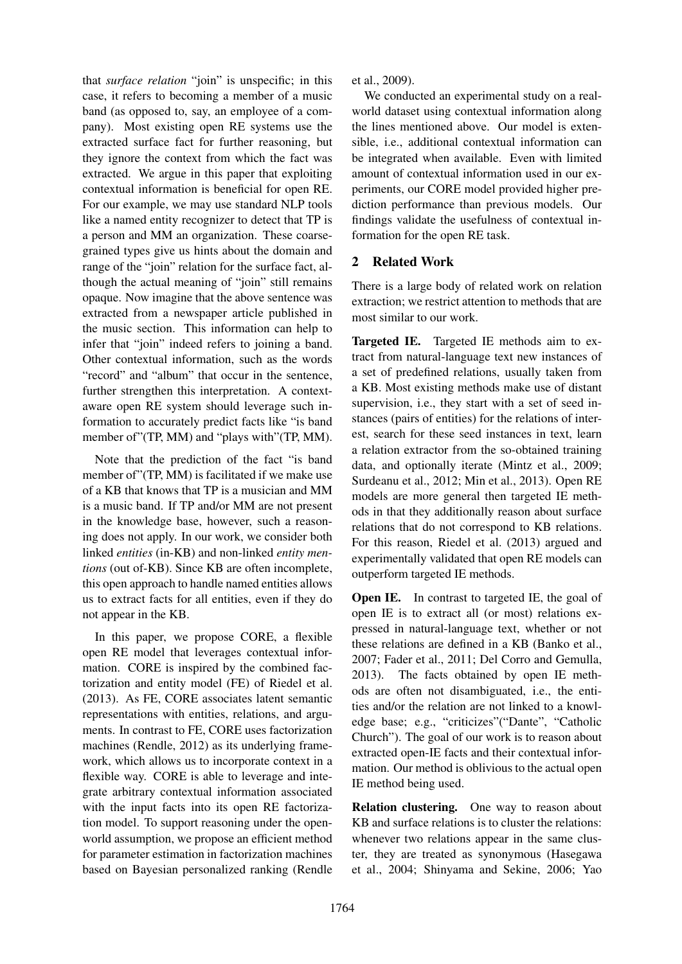that *surface relation* "join" is unspecific; in this case, it refers to becoming a member of a music band (as opposed to, say, an employee of a company). Most existing open RE systems use the extracted surface fact for further reasoning, but they ignore the context from which the fact was extracted. We argue in this paper that exploiting contextual information is beneficial for open RE. For our example, we may use standard NLP tools like a named entity recognizer to detect that TP is a person and MM an organization. These coarsegrained types give us hints about the domain and range of the "join" relation for the surface fact, although the actual meaning of "join" still remains opaque. Now imagine that the above sentence was extracted from a newspaper article published in the music section. This information can help to infer that "join" indeed refers to joining a band. Other contextual information, such as the words "record" and "album" that occur in the sentence, further strengthen this interpretation. A contextaware open RE system should leverage such information to accurately predict facts like "is band member of"(TP, MM) and "plays with"(TP, MM).

Note that the prediction of the fact "is band member of"(TP, MM) is facilitated if we make use of a KB that knows that TP is a musician and MM is a music band. If TP and/or MM are not present in the knowledge base, however, such a reasoning does not apply. In our work, we consider both linked *entities* (in-KB) and non-linked *entity mentions* (out of-KB). Since KB are often incomplete, this open approach to handle named entities allows us to extract facts for all entities, even if they do not appear in the KB.

In this paper, we propose CORE, a flexible open RE model that leverages contextual information. CORE is inspired by the combined factorization and entity model (FE) of Riedel et al. (2013). As FE, CORE associates latent semantic representations with entities, relations, and arguments. In contrast to FE, CORE uses factorization machines (Rendle, 2012) as its underlying framework, which allows us to incorporate context in a flexible way. CORE is able to leverage and integrate arbitrary contextual information associated with the input facts into its open RE factorization model. To support reasoning under the openworld assumption, we propose an efficient method for parameter estimation in factorization machines based on Bayesian personalized ranking (Rendle et al., 2009).

We conducted an experimental study on a realworld dataset using contextual information along the lines mentioned above. Our model is extensible, i.e., additional contextual information can be integrated when available. Even with limited amount of contextual information used in our experiments, our CORE model provided higher prediction performance than previous models. Our findings validate the usefulness of contextual information for the open RE task.

# 2 Related Work

There is a large body of related work on relation extraction; we restrict attention to methods that are most similar to our work.

Targeted IE. Targeted IE methods aim to extract from natural-language text new instances of a set of predefined relations, usually taken from a KB. Most existing methods make use of distant supervision, i.e., they start with a set of seed instances (pairs of entities) for the relations of interest, search for these seed instances in text, learn a relation extractor from the so-obtained training data, and optionally iterate (Mintz et al., 2009; Surdeanu et al., 2012; Min et al., 2013). Open RE models are more general then targeted IE methods in that they additionally reason about surface relations that do not correspond to KB relations. For this reason, Riedel et al. (2013) argued and experimentally validated that open RE models can outperform targeted IE methods.

**Open IE.** In contrast to targeted IE, the goal of open IE is to extract all (or most) relations expressed in natural-language text, whether or not these relations are defined in a KB (Banko et al., 2007; Fader et al., 2011; Del Corro and Gemulla, 2013). The facts obtained by open IE methods are often not disambiguated, i.e., the entities and/or the relation are not linked to a knowledge base; e.g., "criticizes"("Dante", "Catholic Church"). The goal of our work is to reason about extracted open-IE facts and their contextual information. Our method is oblivious to the actual open IE method being used.

Relation clustering. One way to reason about KB and surface relations is to cluster the relations: whenever two relations appear in the same cluster, they are treated as synonymous (Hasegawa et al., 2004; Shinyama and Sekine, 2006; Yao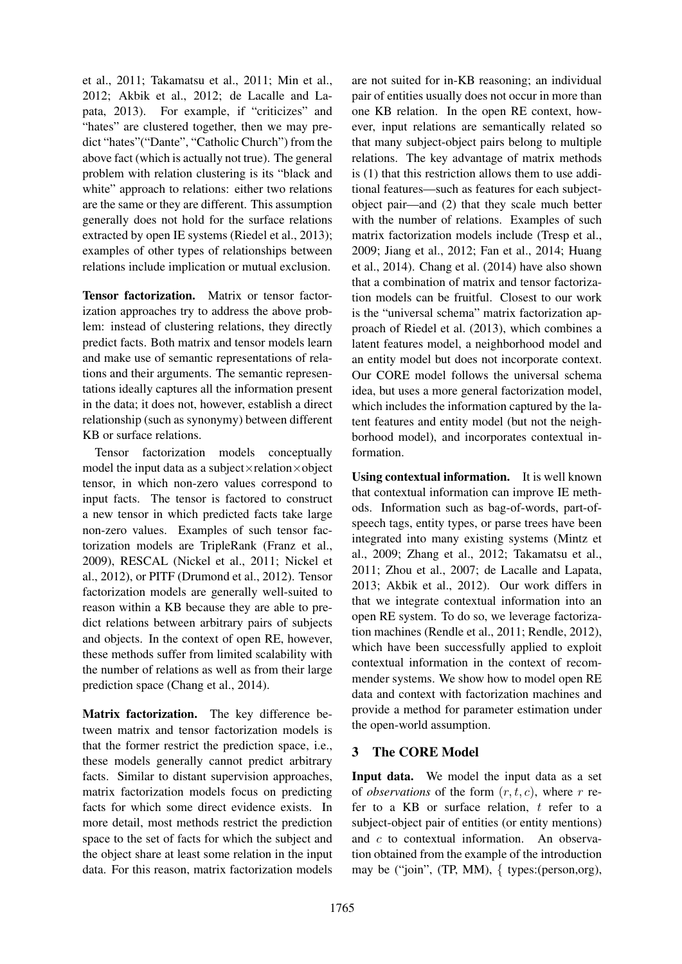et al., 2011; Takamatsu et al., 2011; Min et al., 2012; Akbik et al., 2012; de Lacalle and Lapata, 2013). For example, if "criticizes" and "hates" are clustered together, then we may predict "hates"("Dante", "Catholic Church") from the above fact (which is actually not true). The general problem with relation clustering is its "black and white" approach to relations: either two relations are the same or they are different. This assumption generally does not hold for the surface relations extracted by open IE systems (Riedel et al., 2013); examples of other types of relationships between relations include implication or mutual exclusion.

Tensor factorization. Matrix or tensor factorization approaches try to address the above problem: instead of clustering relations, they directly predict facts. Both matrix and tensor models learn and make use of semantic representations of relations and their arguments. The semantic representations ideally captures all the information present in the data; it does not, however, establish a direct relationship (such as synonymy) between different KB or surface relations.

Tensor factorization models conceptually model the input data as a subject $\times$ relation $\times$ object tensor, in which non-zero values correspond to input facts. The tensor is factored to construct a new tensor in which predicted facts take large non-zero values. Examples of such tensor factorization models are TripleRank (Franz et al., 2009), RESCAL (Nickel et al., 2011; Nickel et al., 2012), or PITF (Drumond et al., 2012). Tensor factorization models are generally well-suited to reason within a KB because they are able to predict relations between arbitrary pairs of subjects and objects. In the context of open RE, however, these methods suffer from limited scalability with the number of relations as well as from their large prediction space (Chang et al., 2014).

Matrix factorization. The key difference between matrix and tensor factorization models is that the former restrict the prediction space, i.e., these models generally cannot predict arbitrary facts. Similar to distant supervision approaches, matrix factorization models focus on predicting facts for which some direct evidence exists. In more detail, most methods restrict the prediction space to the set of facts for which the subject and the object share at least some relation in the input data. For this reason, matrix factorization models are not suited for in-KB reasoning; an individual pair of entities usually does not occur in more than one KB relation. In the open RE context, however, input relations are semantically related so that many subject-object pairs belong to multiple relations. The key advantage of matrix methods is (1) that this restriction allows them to use additional features—such as features for each subjectobject pair—and (2) that they scale much better with the number of relations. Examples of such matrix factorization models include (Tresp et al., 2009; Jiang et al., 2012; Fan et al., 2014; Huang et al., 2014). Chang et al. (2014) have also shown that a combination of matrix and tensor factorization models can be fruitful. Closest to our work is the "universal schema" matrix factorization approach of Riedel et al. (2013), which combines a latent features model, a neighborhood model and an entity model but does not incorporate context. Our CORE model follows the universal schema idea, but uses a more general factorization model, which includes the information captured by the latent features and entity model (but not the neighborhood model), and incorporates contextual information.

Using contextual information. It is well known that contextual information can improve IE methods. Information such as bag-of-words, part-ofspeech tags, entity types, or parse trees have been integrated into many existing systems (Mintz et al., 2009; Zhang et al., 2012; Takamatsu et al., 2011; Zhou et al., 2007; de Lacalle and Lapata, 2013; Akbik et al., 2012). Our work differs in that we integrate contextual information into an open RE system. To do so, we leverage factorization machines (Rendle et al., 2011; Rendle, 2012), which have been successfully applied to exploit contextual information in the context of recommender systems. We show how to model open RE data and context with factorization machines and provide a method for parameter estimation under the open-world assumption.

# 3 The CORE Model

Input data. We model the input data as a set of *observations* of the form  $(r, t, c)$ , where r refer to a KB or surface relation, t refer to a subject-object pair of entities (or entity mentions) and c to contextual information. An observation obtained from the example of the introduction may be ("join", (TP, MM), { types:(person,org),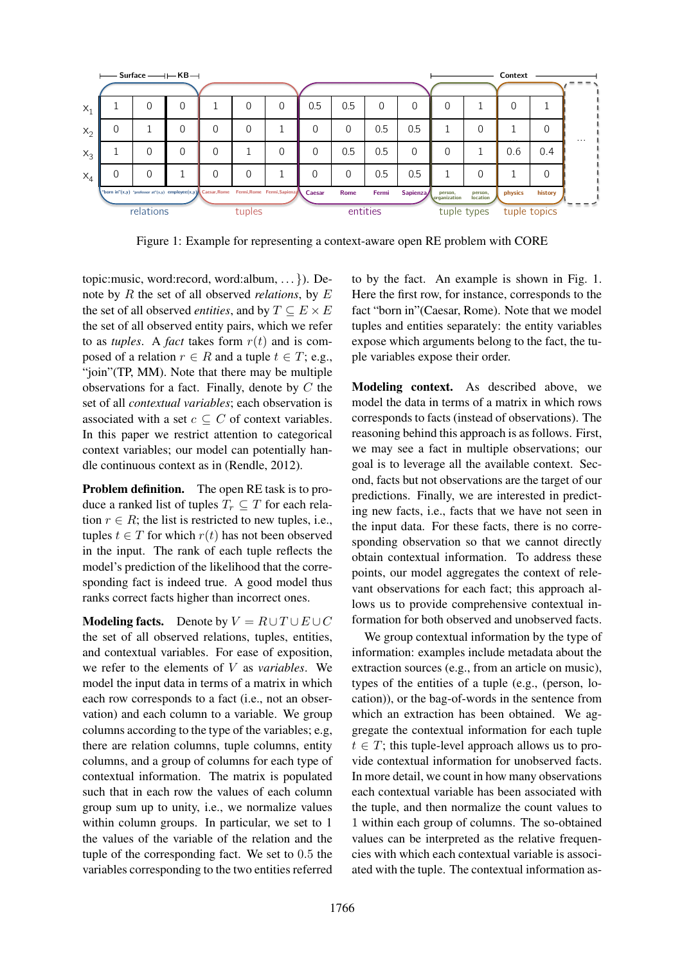

Figure 1: Example for representing a context-aware open RE problem with CORE

topic:music, word:record, word:album, . . . }). Denote by R the set of all observed *relations*, by E the set of all observed *entities*, and by  $T \subseteq E \times E$ the set of all observed entity pairs, which we refer to as *tuples*. A *fact* takes form  $r(t)$  and is composed of a relation  $r \in R$  and a tuple  $t \in T$ ; e.g., "join"(TP, MM). Note that there may be multiple observations for a fact. Finally, denote by  $C$  the set of all *contextual variables*; each observation is associated with a set  $c \subseteq C$  of context variables. In this paper we restrict attention to categorical context variables; our model can potentially handle continuous context as in (Rendle, 2012).

Problem definition. The open RE task is to produce a ranked list of tuples  $T_r \subseteq T$  for each relation  $r \in R$ ; the list is restricted to new tuples, i.e., tuples  $t \in T$  for which  $r(t)$  has not been observed in the input. The rank of each tuple reflects the model's prediction of the likelihood that the corresponding fact is indeed true. A good model thus ranks correct facts higher than incorrect ones.

**Modeling facts.** Denote by  $V = R \cup T \cup E \cup C$ the set of all observed relations, tuples, entities, and contextual variables. For ease of exposition, we refer to the elements of V as *variables*. We model the input data in terms of a matrix in which each row corresponds to a fact (i.e., not an observation) and each column to a variable. We group columns according to the type of the variables; e.g, there are relation columns, tuple columns, entity columns, and a group of columns for each type of contextual information. The matrix is populated such that in each row the values of each column group sum up to unity, i.e., we normalize values within column groups. In particular, we set to 1 the values of the variable of the relation and the tuple of the corresponding fact. We set to 0.5 the variables corresponding to the two entities referred to by the fact. An example is shown in Fig. 1. Here the first row, for instance, corresponds to the fact "born in"(Caesar, Rome). Note that we model tuples and entities separately: the entity variables expose which arguments belong to the fact, the tuple variables expose their order.

Modeling context. As described above, we model the data in terms of a matrix in which rows corresponds to facts (instead of observations). The reasoning behind this approach is as follows. First, we may see a fact in multiple observations; our goal is to leverage all the available context. Second, facts but not observations are the target of our predictions. Finally, we are interested in predicting new facts, i.e., facts that we have not seen in the input data. For these facts, there is no corresponding observation so that we cannot directly obtain contextual information. To address these points, our model aggregates the context of relevant observations for each fact; this approach allows us to provide comprehensive contextual information for both observed and unobserved facts.

We group contextual information by the type of information: examples include metadata about the extraction sources (e.g., from an article on music), types of the entities of a tuple (e.g., (person, location)), or the bag-of-words in the sentence from which an extraction has been obtained. We aggregate the contextual information for each tuple  $t \in T$ ; this tuple-level approach allows us to provide contextual information for unobserved facts. In more detail, we count in how many observations each contextual variable has been associated with the tuple, and then normalize the count values to 1 within each group of columns. The so-obtained values can be interpreted as the relative frequencies with which each contextual variable is associated with the tuple. The contextual information as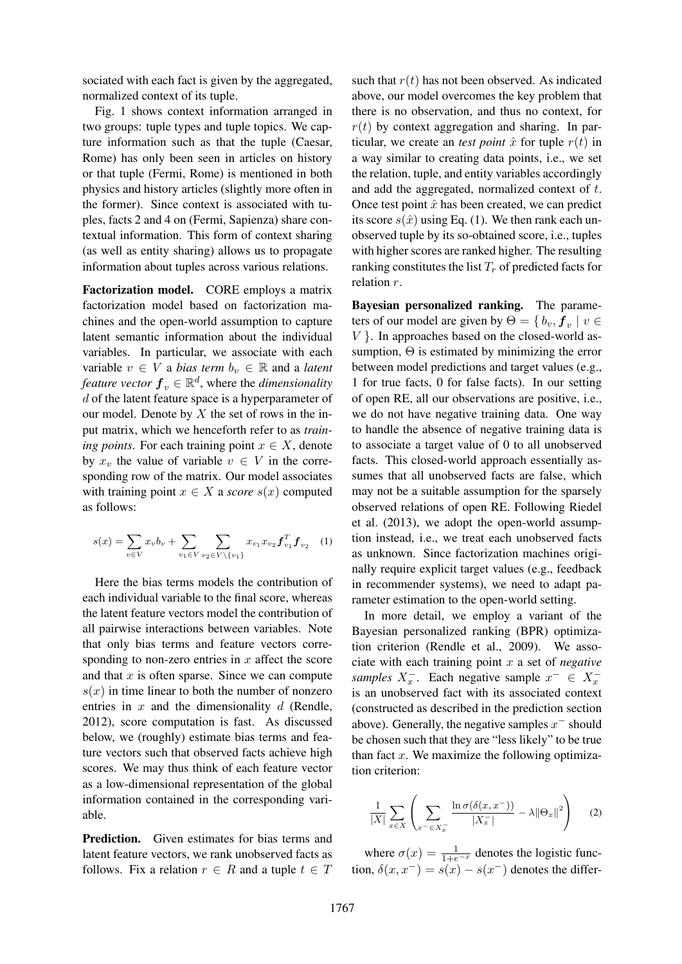sociated with each fact is given by the aggregated, normalized context of its tuple.

Fig. 1 shows context information arranged in two groups: tuple types and tuple topics. We capture information such as that the tuple (Caesar, Rome) has only been seen in articles on history or that tuple (Fermi, Rome) is mentioned in both physics and history articles (slightly more often in the former). Since context is associated with tuples, facts 2 and 4 on (Fermi, Sapienza) share contextual information. This form of context sharing (as well as entity sharing) allows us to propagate information about tuples across various relations.

Factorization model. CORE employs a matrix factorization model based on factorization machines and the open-world assumption to capture latent semantic information about the individual variables. In particular, we associate with each variable  $v \in V$  a *bias term*  $b_v \in \mathbb{R}$  and a *latent feature vector*  $\boldsymbol{f}_v \in \mathbb{R}^d$ , where the *dimensionality* d of the latent feature space is a hyperparameter of our model. Denote by  $X$  the set of rows in the input matrix, which we henceforth refer to as *training points*. For each training point  $x \in X$ , denote by  $x_v$  the value of variable  $v \in V$  in the corresponding row of the matrix. Our model associates with training point  $x \in X$  a *score*  $s(x)$  computed as follows:

$$
s(x) = \sum_{v \in V} x_v b_v + \sum_{v_1 \in V} \sum_{v_2 \in V \setminus \{v_1\}} x_{v_1} x_{v_2} \mathbf{f}_{v_1}^T \mathbf{f}_{v_2} \quad (1)
$$

Here the bias terms models the contribution of each individual variable to the final score, whereas the latent feature vectors model the contribution of all pairwise interactions between variables. Note that only bias terms and feature vectors corresponding to non-zero entries in  $x$  affect the score and that  $x$  is often sparse. Since we can compute  $s(x)$  in time linear to both the number of nonzero entries in  $x$  and the dimensionality  $d$  (Rendle, 2012), score computation is fast. As discussed below, we (roughly) estimate bias terms and feature vectors such that observed facts achieve high scores. We may thus think of each feature vector as a low-dimensional representation of the global information contained in the corresponding variable.

Prediction. Given estimates for bias terms and latent feature vectors, we rank unobserved facts as follows. Fix a relation  $r \in R$  and a tuple  $t \in T$  such that  $r(t)$  has not been observed. As indicated above, our model overcomes the key problem that there is no observation, and thus no context, for  $r(t)$  by context aggregation and sharing. In particular, we create an *test point*  $\hat{x}$  for tuple  $r(t)$  in a way similar to creating data points, i.e., we set the relation, tuple, and entity variables accordingly and add the aggregated, normalized context of t. Once test point  $\hat{x}$  has been created, we can predict its score  $s(\hat{x})$  using Eq. (1). We then rank each unobserved tuple by its so-obtained score, i.e., tuples with higher scores are ranked higher. The resulting ranking constitutes the list  $T_r$  of predicted facts for relation r.

Bayesian personalized ranking. The parameters of our model are given by  $\Theta = \{b_v, \bm{f}_v \mid v \in$  $V$ . In approaches based on the closed-world assumption,  $\Theta$  is estimated by minimizing the error between model predictions and target values (e.g., 1 for true facts, 0 for false facts). In our setting of open RE, all our observations are positive, i.e., we do not have negative training data. One way to handle the absence of negative training data is to associate a target value of 0 to all unobserved facts. This closed-world approach essentially assumes that all unobserved facts are false, which may not be a suitable assumption for the sparsely observed relations of open RE. Following Riedel et al. (2013), we adopt the open-world assumption instead, i.e., we treat each unobserved facts as unknown. Since factorization machines originally require explicit target values (e.g., feedback in recommender systems), we need to adapt parameter estimation to the open-world setting.

In more detail, we employ a variant of the Bayesian personalized ranking (BPR) optimization criterion (Rendle et al., 2009). We associate with each training point x a set of *negative samples*  $X_x^-$ . Each negative sample  $x^- \in X_x^$ is an unobserved fact with its associated context (constructed as described in the prediction section above). Generally, the negative samples  $x^-$  should be chosen such that they are "less likely" to be true than fact  $x$ . We maximize the following optimization criterion:

$$
\frac{1}{|X|} \sum_{x \in X} \left( \sum_{x^- \in X_x^-} \frac{\ln \sigma(\delta(x, x^-))}{|X_x^-|} - \lambda ||\Theta_x||^2 \right) \tag{2}
$$

where  $\sigma(x) = \frac{1}{1 + e^{-x}}$  denotes the logistic function,  $\delta(x, x^-) = s(x) - s(x^-)$  denotes the differ-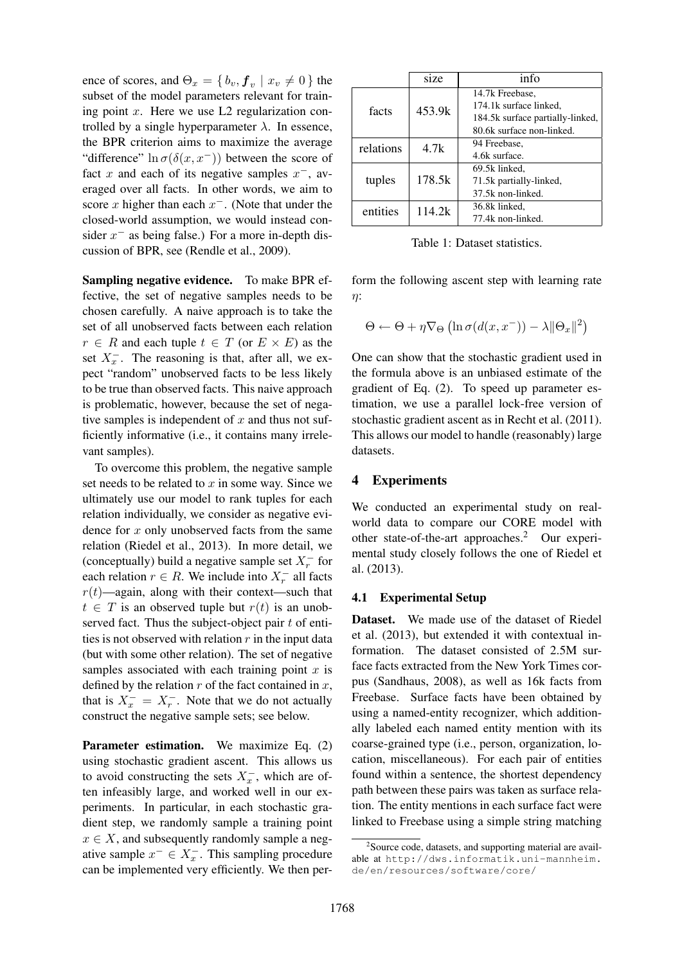ence of scores, and  $\Theta_x = \{b_v, \mathbf{f}_v \mid x_v \neq 0\}$  the subset of the model parameters relevant for training point  $x$ . Here we use L2 regularization controlled by a single hyperparameter  $\lambda$ . In essence, the BPR criterion aims to maximize the average "difference"  $\ln \sigma(\delta(x, x^{-}))$  between the score of fact x and each of its negative samples  $x^-$ , averaged over all facts. In other words, we aim to score x higher than each  $x^-$ . (Note that under the closed-world assumption, we would instead consider  $x^-$  as being false.) For a more in-depth discussion of BPR, see (Rendle et al., 2009).

Sampling negative evidence. To make BPR effective, the set of negative samples needs to be chosen carefully. A naive approach is to take the set of all unobserved facts between each relation  $r \in R$  and each tuple  $t \in T$  (or  $E \times E$ ) as the set  $X_x^-$ . The reasoning is that, after all, we expect "random" unobserved facts to be less likely to be true than observed facts. This naive approach is problematic, however, because the set of negative samples is independent of  $x$  and thus not sufficiently informative (i.e., it contains many irrelevant samples).

To overcome this problem, the negative sample set needs to be related to  $x$  in some way. Since we ultimately use our model to rank tuples for each relation individually, we consider as negative evidence for  $x$  only unobserved facts from the same relation (Riedel et al., 2013). In more detail, we (conceptually) build a negative sample set  $X_r^-$  for each relation  $r \in R$ . We include into  $X_r^-$  all facts  $r(t)$ —again, along with their context—such that  $t \in T$  is an observed tuple but  $r(t)$  is an unobserved fact. Thus the subject-object pair  $t$  of entities is not observed with relation  $r$  in the input data (but with some other relation). The set of negative samples associated with each training point  $x$  is defined by the relation  $r$  of the fact contained in  $x$ , that is  $X_x^- = X_x^-$ . Note that we do not actually construct the negative sample sets; see below.

Parameter estimation. We maximize Eq. (2) using stochastic gradient ascent. This allows us to avoid constructing the sets  $X_x^-$ , which are often infeasibly large, and worked well in our experiments. In particular, in each stochastic gradient step, we randomly sample a training point  $x \in X$ , and subsequently randomly sample a negative sample  $x^- \in X_x^-$ . This sampling procedure can be implemented very efficiently. We then per-

|           | size   | info                             |  |  |  |
|-----------|--------|----------------------------------|--|--|--|
| facts     |        | 14.7k Freebase.                  |  |  |  |
|           | 453.9k | 174.1k surface linked,           |  |  |  |
|           |        | 184.5k surface partially-linked, |  |  |  |
|           |        | 80.6k surface non-linked.        |  |  |  |
| relations | 4.7k   | 94 Freebase.                     |  |  |  |
|           |        | 4.6k surface.                    |  |  |  |
| tuples    |        | 69.5k linked.                    |  |  |  |
|           | 178.5k | 71.5k partially-linked,          |  |  |  |
|           |        | 37.5k non-linked.                |  |  |  |
| entities  | 114.2k | 36.8k linked,                    |  |  |  |
|           |        | 77.4k non-linked                 |  |  |  |

Table 1: Dataset statistics.

form the following ascent step with learning rate η:

$$
\Theta \leftarrow \Theta + \eta \nabla_{\Theta} \left( \ln \sigma(d(x, x^{-})) - \lambda ||\Theta_x||^2 \right)
$$

One can show that the stochastic gradient used in the formula above is an unbiased estimate of the gradient of Eq. (2). To speed up parameter estimation, we use a parallel lock-free version of stochastic gradient ascent as in Recht et al. (2011). This allows our model to handle (reasonably) large datasets.

### 4 Experiments

We conducted an experimental study on realworld data to compare our CORE model with other state-of-the-art approaches.<sup>2</sup> Our experimental study closely follows the one of Riedel et al. (2013).

#### 4.1 Experimental Setup

Dataset. We made use of the dataset of Riedel et al. (2013), but extended it with contextual information. The dataset consisted of 2.5M surface facts extracted from the New York Times corpus (Sandhaus, 2008), as well as 16k facts from Freebase. Surface facts have been obtained by using a named-entity recognizer, which additionally labeled each named entity mention with its coarse-grained type (i.e., person, organization, location, miscellaneous). For each pair of entities found within a sentence, the shortest dependency path between these pairs was taken as surface relation. The entity mentions in each surface fact were linked to Freebase using a simple string matching

<sup>&</sup>lt;sup>2</sup> Source code, datasets, and supporting material are available at http://dws.informatik.uni-mannheim. de/en/resources/software/core/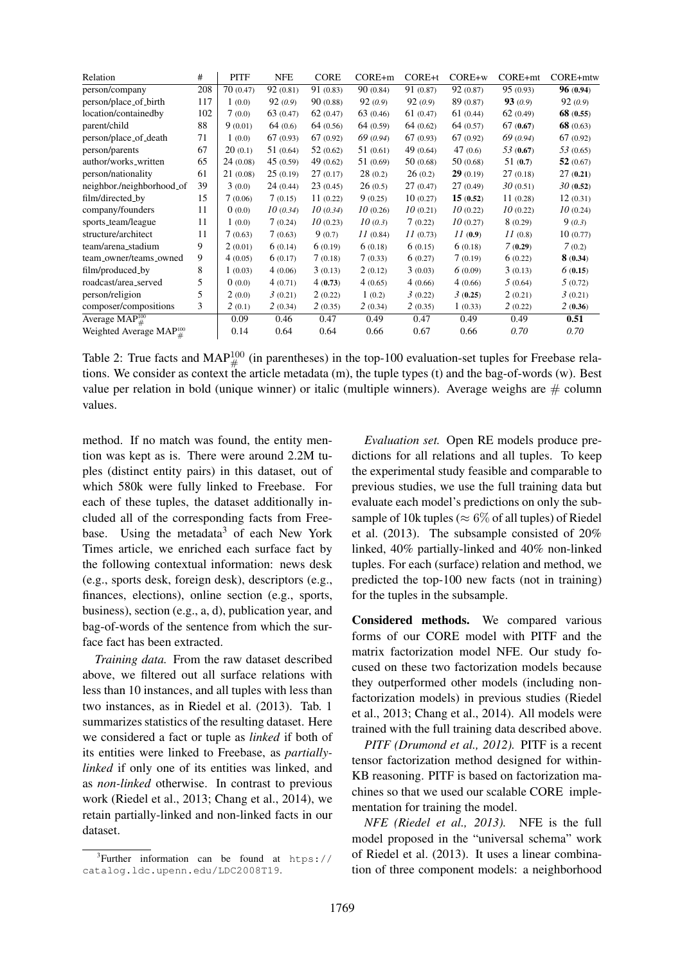| Relation                           | #   | PITF     | <b>NFE</b>  | <b>CORE</b> | CORE+m    | CORE+t      | CORE+w    | CORE+mt    | CORE+mtw    |
|------------------------------------|-----|----------|-------------|-------------|-----------|-------------|-----------|------------|-------------|
| person/company                     | 208 | 70(0.47) | 92(0.81)    | 91(0.83)    | 90(0.84)  | 91 (0.87)   | 92(0.87)  | 95(0.93)   | 96(0.94)    |
| person/place_of_birth              | 117 | 1(0.0)   | 92(0.9)     | 90(0.88)    | 92(0.9)   | 92(0.9)     | 89 (0.87) | 93(0.9)    | 92(0.9)     |
| location/containedby               | 102 | 7(0.0)   | 63 $(0.47)$ | 62(0.47)    | 63(0.46)  | 61(0.47)    | 61(0.44)  | 62(0.49)   | 68(0.55)    |
| parent/child                       | 88  | 9(0.01)  | 64(0.6)     | 64 (0.56)   | 64(0.59)  | 64(0.62)    | 64(0.57)  | 67(0.67)   | 68 $(0.63)$ |
| person/place_of_death              | 71  | 1(0.0)   | 67(0.93)    | 67(0.92)    | 69 (0.94) | 67(0.93)    | 67(0.92)  | 69 (0.94)  | 67(0.92)    |
| person/parents                     | 67  | 20(0.1)  | 51(0.64)    | 52(0.62)    | 51(0.61)  | 49 $(0.64)$ | 47(0.6)   | 53(0.67)   | 53(0.65)    |
| author/works_written               | 65  | 24(0.08) | 45(0.59)    | 49 $(0.62)$ | 51(0.69)  | 50(0.68)    | 50(0.68)  | 51 $(0.7)$ | 52(0.67)    |
| person/nationality                 | 61  | 21(0.08) | 25(0.19)    | 27(0.17)    | 28(0.2)   | 26(0.2)     | 29(0.19)  | 27(0.18)   | 27(0.21)    |
| neighbor./neighborhood_of          | 39  | 3(0.0)   | 24(0.44)    | 23(0.45)    | 26(0.5)   | 27(0.47)    | 27(0.49)  | 30(0.51)   | 30(0.52)    |
| film/directed_by                   | 15  | 7(0.06)  | 7(0.15)     | 11(0.22)    | 9(0.25)   | 10(0.27)    | 15(0.52)  | 11(0.28)   | 12(0.31)    |
| company/founders                   | 11  | 0(0.0)   | 10(0.34)    | 10(0.34)    | 10(0.26)  | 10(0.21)    | 10(0.22)  | 10(0.22)   | 10(0.24)    |
| sports_team/league                 | 11  | 1(0.0)   | 7(0.24)     | 10(0.23)    | 10(0.3)   | 7(0.22)     | 10(0.27)  | 8(0.29)    | 9(0.3)      |
| structure/architect                | 11  | 7(0.63)  | 7(0.63)     | 9(0.7)      | 11(0.84)  | 11(0.73)    | 11(0.9)   | 11(0.8)    | 10(0.77)    |
| team/arena_stadium                 | 9   | 2(0.01)  | 6(0.14)     | 6(0.19)     | 6(0.18)   | 6(0.15)     | 6(0.18)   | 7(0.29)    | 7(0.2)      |
| team_owner/teams_owned             | 9   | 4(0.05)  | 6(0.17)     | 7(0.18)     | 7(0.33)   | 6(0.27)     | 7(0.19)   | 6(0.22)    | 8(0.34)     |
| film/produced_by                   | 8   | 1(0.03)  | 4(0.06)     | 3(0.13)     | 2(0.12)   | 3(0.03)     | 6(0.09)   | 3(0.13)    | 6(0.15)     |
| roadcast/area_served               | 5   | 0(0.0)   | 4(0.71)     | 4(0.73)     | 4(0.65)   | 4(0.66)     | 4(0.66)   | 5(0.64)    | 5(0.72)     |
| person/religion                    | 5   | 2(0.0)   | 3(0.21)     | 2(0.22)     | 1(0.2)    | 3(0.22)     | 3(0.25)   | 2(0.21)    | 3(0.21)     |
| composer/compositions              | 3   | 2(0.1)   | 2(0.34)     | 2(0.35)     | 2(0.34)   | 2(0.35)     | 1(0.33)   | 2(0.22)    | 2(0.36)     |
| Average $\text{MAP}^{100}_{\#}$    |     | 0.09     | 0.46        | 0.47        | 0.49      | 0.47        | 0.49      | 0.49       | 0.51        |
| Weighted Average MAP $^{100}_{\#}$ |     | 0.14     | 0.64        | 0.64        | 0.66      | 0.67        | 0.66      | 0.70       | 0.70        |

Table 2: True facts and  $MAP^{100}_{\#}$  (in parentheses) in the top-100 evaluation-set tuples for Freebase relations. We consider as context the article metadata (m), the tuple types (t) and the bag-of-words (w). Best value per relation in bold (unique winner) or italic (multiple winners). Average weighs are  $\#$  column values.

method. If no match was found, the entity mention was kept as is. There were around 2.2M tuples (distinct entity pairs) in this dataset, out of which 580k were fully linked to Freebase. For each of these tuples, the dataset additionally included all of the corresponding facts from Freebase. Using the metadata<sup>3</sup> of each New York Times article, we enriched each surface fact by the following contextual information: news desk (e.g., sports desk, foreign desk), descriptors (e.g., finances, elections), online section (e.g., sports, business), section (e.g., a, d), publication year, and bag-of-words of the sentence from which the surface fact has been extracted.

*Training data.* From the raw dataset described above, we filtered out all surface relations with less than 10 instances, and all tuples with less than two instances, as in Riedel et al. (2013). Tab. 1 summarizes statistics of the resulting dataset. Here we considered a fact or tuple as *linked* if both of its entities were linked to Freebase, as *partiallylinked* if only one of its entities was linked, and as *non-linked* otherwise. In contrast to previous work (Riedel et al., 2013; Chang et al., 2014), we retain partially-linked and non-linked facts in our dataset.

*Evaluation set.* Open RE models produce predictions for all relations and all tuples. To keep the experimental study feasible and comparable to previous studies, we use the full training data but evaluate each model's predictions on only the subsample of 10k tuples ( $\approx 6\%$  of all tuples) of Riedel et al. (2013). The subsample consisted of 20% linked, 40% partially-linked and 40% non-linked tuples. For each (surface) relation and method, we predicted the top-100 new facts (not in training) for the tuples in the subsample.

Considered methods. We compared various forms of our CORE model with PITF and the matrix factorization model NFE. Our study focused on these two factorization models because they outperformed other models (including nonfactorization models) in previous studies (Riedel et al., 2013; Chang et al., 2014). All models were trained with the full training data described above.

*PITF (Drumond et al., 2012).* PITF is a recent tensor factorization method designed for within-KB reasoning. PITF is based on factorization machines so that we used our scalable CORE implementation for training the model.

*NFE (Riedel et al., 2013).* NFE is the full model proposed in the "universal schema" work of Riedel et al. (2013). It uses a linear combination of three component models: a neighborhood

<sup>3</sup> Further information can be found at htps:// catalog.ldc.upenn.edu/LDC2008T19.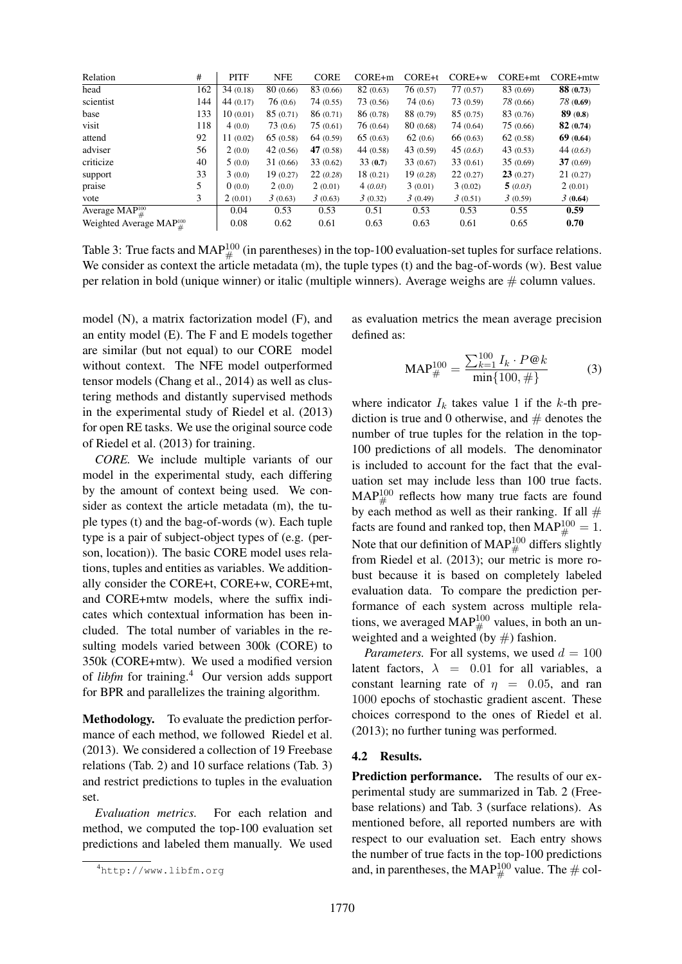| Relation                           | #   | <b>PITF</b> | <b>NFE</b> | <b>CORE</b> | $CORE+m$  | $CORE+t$  | $CORE+w$  | CORE+mt   | CORE+mtw  |
|------------------------------------|-----|-------------|------------|-------------|-----------|-----------|-----------|-----------|-----------|
| head                               | 162 | 34(0.18)    | 80 (0.66)  | 83 (0.66)   | 82(0.63)  | 76(0.57)  | 77(0.57)  | 83 (0.69) | 88 (0.73) |
| scientist                          | 144 | 44(0.17)    | 76(0.6)    | 74(0.55)    | 73 (0.56) | 74(0.6)   | 73 (0.59) | 78 (0.66) | 78 (0.69) |
| base                               | 133 | 10(0.01)    | 85(0.71)   | 86(0.71)    | 86 (0.78) | 88 (0.79) | 85(0.75)  | 83 (0.76) | 89(0.8)   |
| visit                              | 118 | 4(0.0)      | 73(0.6)    | 75(0.61)    | 76(0.64)  | 80(0.68)  | 74(0.64)  | 75(0.66)  | 82(0.74)  |
| attend                             | 92  | 11(0.02)    | 65(0.58)   | 64(0.59)    | 65(0.63)  | 62(0.6)   | 66(0.63)  | 62(0.58)  | 69(0.64)  |
| adviser                            | 56  | 2(0.0)      | 42(0.56)   | 47 $(0.58)$ | 44(0.58)  | 43(0.59)  | 45(0.63)  | 43(0.53)  | 44(0.63)  |
| criticize                          | 40  | 5(0.0)      | 31(0.66)   | 33(0.62)    | 33(0.7)   | 33(0.67)  | 33(0.61)  | 35(0.69)  | 37(0.69)  |
| support                            | 33  | 3(0.0)      | 19(0.27)   | 22(0.28)    | 18 (0.21) | 19(0.28)  | 22(0.27)  | 23(0.27)  | 21(0.27)  |
| praise                             | 5.  | 0(0.0)      | 2(0.0)     | 2(0.01)     | 4(0.03)   | 3(0.01)   | 3(0.02)   | 5(0.03)   | 2(0.01)   |
| vote                               | 3   | 2(0.01)     | 3(0.63)    | 3(0.63)     | 3(0.32)   | 3(0.49)   | 3(0.51)   | 3(0.59)   | 3(0.64)   |
| Average $\text{MAP}^{100}_{\#}$    |     | 0.04        | 0.53       | 0.53        | 0.51      | 0.53      | 0.53      | 0.55      | 0.59      |
| Weighted Average MAP $^{100}_{\#}$ |     | 0.08        | 0.62       | 0.61        | 0.63      | 0.63      | 0.61      | 0.65      | 0.70      |

Table 3: True facts and MAP $^{100}_{\#}$  (in parentheses) in the top-100 evaluation-set tuples for surface relations. We consider as context the article metadata (m), the tuple types (t) and the bag-of-words (w). Best value per relation in bold (unique winner) or italic (multiple winners). Average weighs are  $\#$  column values.

model (N), a matrix factorization model (F), and an entity model (E). The F and E models together are similar (but not equal) to our CORE model without context. The NFE model outperformed tensor models (Chang et al., 2014) as well as clustering methods and distantly supervised methods in the experimental study of Riedel et al. (2013) for open RE tasks. We use the original source code of Riedel et al. (2013) for training.

*CORE.* We include multiple variants of our model in the experimental study, each differing by the amount of context being used. We consider as context the article metadata (m), the tuple types (t) and the bag-of-words (w). Each tuple type is a pair of subject-object types of (e.g. (person, location)). The basic CORE model uses relations, tuples and entities as variables. We additionally consider the CORE+t, CORE+w, CORE+mt, and CORE+mtw models, where the suffix indicates which contextual information has been included. The total number of variables in the resulting models varied between 300k (CORE) to 350k (CORE+mtw). We used a modified version of *libfm* for training.<sup>4</sup> Our version adds support for BPR and parallelizes the training algorithm.

Methodology. To evaluate the prediction performance of each method, we followed Riedel et al. (2013). We considered a collection of 19 Freebase relations (Tab. 2) and 10 surface relations (Tab. 3) and restrict predictions to tuples in the evaluation set.

*Evaluation metrics.* For each relation and method, we computed the top-100 evaluation set predictions and labeled them manually. We used

as evaluation metrics the mean average precision defined as:

$$
\text{MAP}_{\#}^{100} = \frac{\sum_{k=1}^{100} I_k \cdot P@k}{\min\{100, \# \}} \tag{3}
$$

where indicator  $I_k$  takes value 1 if the k-th prediction is true and 0 otherwise, and  $#$  denotes the number of true tuples for the relation in the top-100 predictions of all models. The denominator is included to account for the fact that the evaluation set may include less than 100 true facts.  $\text{MAP}^{100}_\#$  reflects how many true facts are found by each method as well as their ranking. If all  $#$ facts are found and ranked top, then  $\text{MAP}^{100}_{\#} = 1$ . Note that our definition of MAP $^{100}_{\#}$  differs slightly from Riedel et al. (2013); our metric is more robust because it is based on completely labeled evaluation data. To compare the prediction performance of each system across multiple relations, we averaged MAP<sup>100</sup> values, in both an unweighted and a weighted  $($ by  $#$  $)$  fashion.

*Parameters.* For all systems, we used  $d = 100$ latent factors,  $\lambda = 0.01$  for all variables, a constant learning rate of  $\eta = 0.05$ , and ran 1000 epochs of stochastic gradient ascent. These choices correspond to the ones of Riedel et al. (2013); no further tuning was performed.

#### 4.2 Results.

Prediction performance. The results of our experimental study are summarized in Tab. 2 (Freebase relations) and Tab. 3 (surface relations). As mentioned before, all reported numbers are with respect to our evaluation set. Each entry shows the number of true facts in the top-100 predictions and, in parentheses, the MAP<sup>100</sup> value. The  $\#$  col-

<sup>4</sup>http://www.libfm.org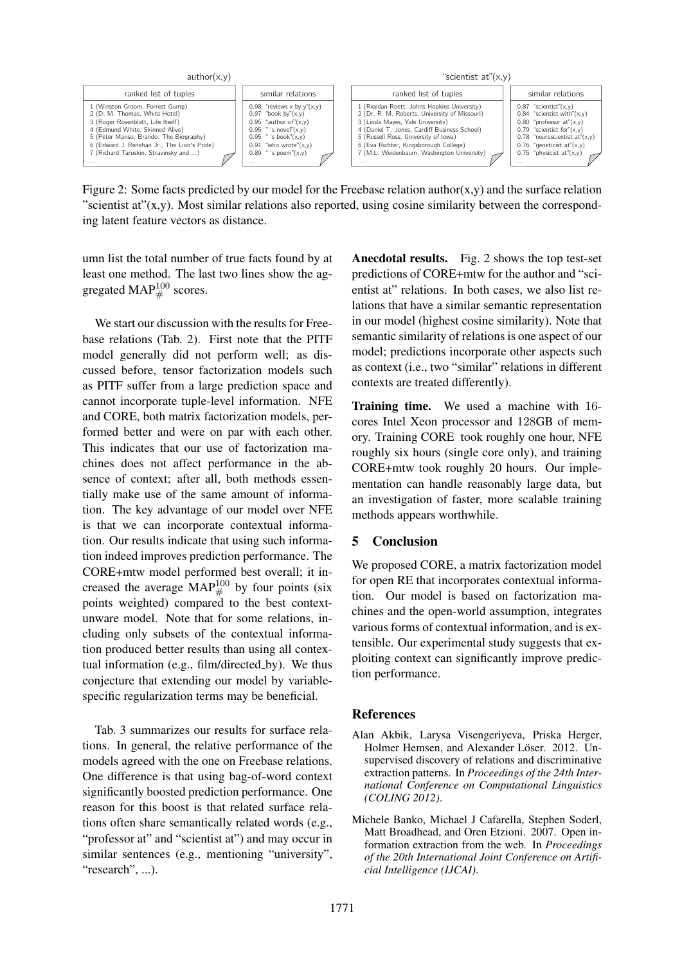

Figure 2: Some facts predicted by our model for the Freebase relation author(x,y) and the surface relation "scientist at" $(x,y)$ . Most similar relations also reported, using cosine similarity between the corresponding latent feature vectors as distance.

umn list the total number of true facts found by at least one method. The last two lines show the aggregated MAP $^{100}_{\#}$  scores.

We start our discussion with the results for Freebase relations (Tab. 2). First note that the PITF model generally did not perform well; as discussed before, tensor factorization models such as PITF suffer from a large prediction space and cannot incorporate tuple-level information. NFE and CORE, both matrix factorization models, performed better and were on par with each other. This indicates that our use of factorization machines does not affect performance in the absence of context; after all, both methods essentially make use of the same amount of information. The key advantage of our model over NFE is that we can incorporate contextual information. Our results indicate that using such information indeed improves prediction performance. The CORE+mtw model performed best overall; it increased the average MAP $^{100}_{\#}$  by four points (six points weighted) compared to the best contextunware model. Note that for some relations, including only subsets of the contextual information produced better results than using all contextual information (e.g., film/directed\_by). We thus conjecture that extending our model by variablespecific regularization terms may be beneficial.

Tab. 3 summarizes our results for surface relations. In general, the relative performance of the models agreed with the one on Freebase relations. One difference is that using bag-of-word context significantly boosted prediction performance. One reason for this boost is that related surface relations often share semantically related words (e.g., "professor at" and "scientist at") and may occur in similar sentences (e.g., mentioning "university", "research", ...).

Anecdotal results. Fig. 2 shows the top test-set predictions of CORE+mtw for the author and "scientist at" relations. In both cases, we also list relations that have a similar semantic representation in our model (highest cosine similarity). Note that semantic similarity of relations is one aspect of our model; predictions incorporate other aspects such as context (i.e., two "similar" relations in different contexts are treated differently).

Training time. We used a machine with 16 cores Intel Xeon processor and 128GB of memory. Training CORE took roughly one hour, NFE roughly six hours (single core only), and training CORE+mtw took roughly 20 hours. Our implementation can handle reasonably large data, but an investigation of faster, more scalable training methods appears worthwhile.

### 5 Conclusion

We proposed CORE, a matrix factorization model for open RE that incorporates contextual information. Our model is based on factorization machines and the open-world assumption, integrates various forms of contextual information, and is extensible. Our experimental study suggests that exploiting context can significantly improve prediction performance.

#### References

- Alan Akbik, Larysa Visengeriyeva, Priska Herger, Holmer Hemsen, and Alexander Löser. 2012. Unsupervised discovery of relations and discriminative extraction patterns. In *Proceedings of the 24th International Conference on Computational Linguistics (COLING 2012)*.
- Michele Banko, Michael J Cafarella, Stephen Soderl, Matt Broadhead, and Oren Etzioni. 2007. Open information extraction from the web. In *Proceedings of the 20th International Joint Conference on Artificial Intelligence (IJCAI)*.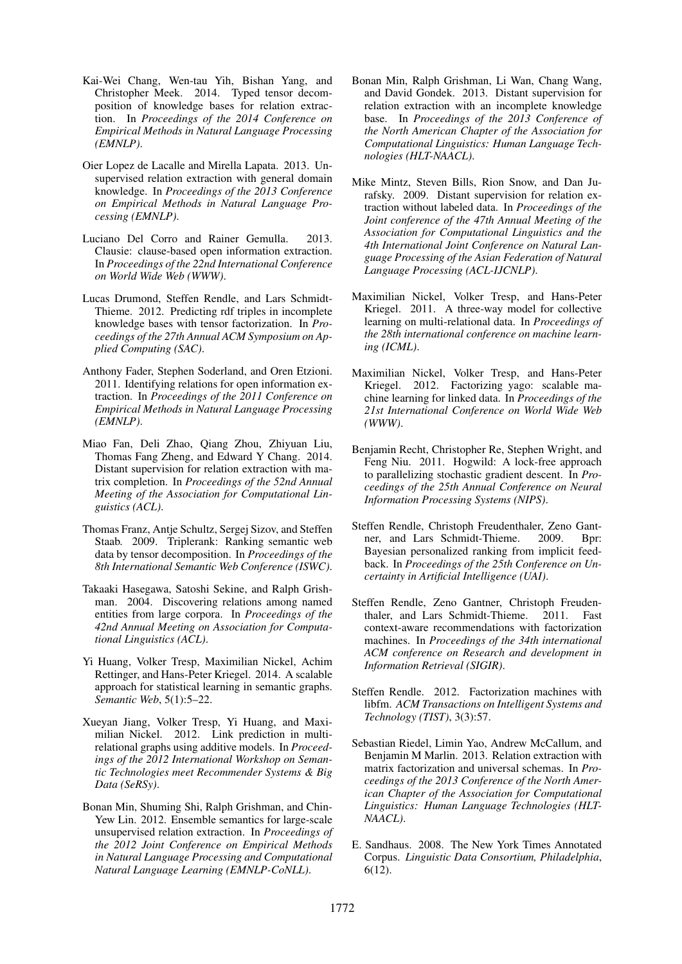- Kai-Wei Chang, Wen-tau Yih, Bishan Yang, and Christopher Meek. 2014. Typed tensor decomposition of knowledge bases for relation extraction. In *Proceedings of the 2014 Conference on Empirical Methods in Natural Language Processing (EMNLP)*.
- Oier Lopez de Lacalle and Mirella Lapata. 2013. Unsupervised relation extraction with general domain knowledge. In *Proceedings of the 2013 Conference on Empirical Methods in Natural Language Processing (EMNLP)*.
- Luciano Del Corro and Rainer Gemulla. 2013. Clausie: clause-based open information extraction. In *Proceedings of the 22nd International Conference on World Wide Web (WWW)*.
- Lucas Drumond, Steffen Rendle, and Lars Schmidt-Thieme. 2012. Predicting rdf triples in incomplete knowledge bases with tensor factorization. In *Proceedings of the 27th Annual ACM Symposium on Applied Computing (SAC)*.
- Anthony Fader, Stephen Soderland, and Oren Etzioni. 2011. Identifying relations for open information extraction. In *Proceedings of the 2011 Conference on Empirical Methods in Natural Language Processing (EMNLP)*.
- Miao Fan, Deli Zhao, Qiang Zhou, Zhiyuan Liu, Thomas Fang Zheng, and Edward Y Chang. 2014. Distant supervision for relation extraction with matrix completion. In *Proceedings of the 52nd Annual Meeting of the Association for Computational Linguistics (ACL)*.
- Thomas Franz, Antje Schultz, Sergej Sizov, and Steffen Staab. 2009. Triplerank: Ranking semantic web data by tensor decomposition. In *Proceedings of the 8th International Semantic Web Conference (ISWC)*.
- Takaaki Hasegawa, Satoshi Sekine, and Ralph Grishman. 2004. Discovering relations among named entities from large corpora. In *Proceedings of the 42nd Annual Meeting on Association for Computational Linguistics (ACL)*.
- Yi Huang, Volker Tresp, Maximilian Nickel, Achim Rettinger, and Hans-Peter Kriegel. 2014. A scalable approach for statistical learning in semantic graphs. *Semantic Web*, 5(1):5–22.
- Xueyan Jiang, Volker Tresp, Yi Huang, and Maximilian Nickel. 2012. Link prediction in multirelational graphs using additive models. In *Proceedings of the 2012 International Workshop on Semantic Technologies meet Recommender Systems & Big Data (SeRSy)*.
- Bonan Min, Shuming Shi, Ralph Grishman, and Chin-Yew Lin. 2012. Ensemble semantics for large-scale unsupervised relation extraction. In *Proceedings of the 2012 Joint Conference on Empirical Methods in Natural Language Processing and Computational Natural Language Learning (EMNLP-CoNLL)*.
- Bonan Min, Ralph Grishman, Li Wan, Chang Wang, and David Gondek. 2013. Distant supervision for relation extraction with an incomplete knowledge base. In *Proceedings of the 2013 Conference of the North American Chapter of the Association for Computational Linguistics: Human Language Technologies (HLT-NAACL)*.
- Mike Mintz, Steven Bills, Rion Snow, and Dan Jurafsky. 2009. Distant supervision for relation extraction without labeled data. In *Proceedings of the Joint conference of the 47th Annual Meeting of the Association for Computational Linguistics and the 4th International Joint Conference on Natural Language Processing of the Asian Federation of Natural Language Processing (ACL-IJCNLP)*.
- Maximilian Nickel, Volker Tresp, and Hans-Peter Kriegel. 2011. A three-way model for collective learning on multi-relational data. In *Proceedings of the 28th international conference on machine learning (ICML)*.
- Maximilian Nickel, Volker Tresp, and Hans-Peter Kriegel. 2012. Factorizing yago: scalable machine learning for linked data. In *Proceedings of the 21st International Conference on World Wide Web (WWW)*.
- Benjamin Recht, Christopher Re, Stephen Wright, and Feng Niu. 2011. Hogwild: A lock-free approach to parallelizing stochastic gradient descent. In *Proceedings of the 25th Annual Conference on Neural Information Processing Systems (NIPS)*.
- Steffen Rendle, Christoph Freudenthaler, Zeno Gantner, and Lars Schmidt-Thieme. 2009. Bpr: Bayesian personalized ranking from implicit feedback. In *Proceedings of the 25th Conference on Uncertainty in Artificial Intelligence (UAI)*.
- Steffen Rendle, Zeno Gantner, Christoph Freudenthaler, and Lars Schmidt-Thieme. 2011. Fast context-aware recommendations with factorization machines. In *Proceedings of the 34th international ACM conference on Research and development in Information Retrieval (SIGIR)*.
- Steffen Rendle. 2012. Factorization machines with libfm. *ACM Transactions on Intelligent Systems and Technology (TIST)*, 3(3):57.
- Sebastian Riedel, Limin Yao, Andrew McCallum, and Benjamin M Marlin. 2013. Relation extraction with matrix factorization and universal schemas. In *Proceedings of the 2013 Conference of the North American Chapter of the Association for Computational Linguistics: Human Language Technologies (HLT-NAACL)*.
- E. Sandhaus. 2008. The New York Times Annotated Corpus. *Linguistic Data Consortium, Philadelphia*, 6(12).